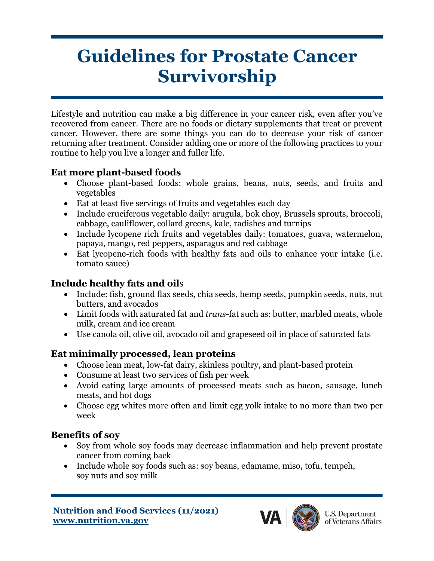# **Guidelines for Prostate Cancer Survivorship**

Lifestyle and nutrition can make a big difference in your cancer risk, even after you've recovered from cancer. There are no foods or dietary supplements that treat or prevent cancer. However, there are some things you can do to decrease your risk of cancer returning after treatment. Consider adding one or more of the following practices to your routine to help you live a longer and fuller life.

#### **Eat more plant-based foods**

- Choose plant-based foods: whole grains, beans, nuts, seeds, and fruits and vegetables
- Eat at least five servings of fruits and vegetables each day
- Include cruciferous vegetable daily: arugula, bok choy, Brussels sprouts, broccoli, cabbage, cauliflower, collard greens, kale, radishes and turnips
- Include lycopene rich fruits and vegetables daily: tomatoes, guava, watermelon, papaya, mango, red peppers, asparagus and red cabbage
- Eat lycopene-rich foods with healthy fats and oils to enhance your intake (i.e. tomato sauce)

#### **Include healthy fats and oil**s

- Include: fish, ground flax seeds, chia seeds, hemp seeds, pumpkin seeds, nuts, nut butters, and avocados
- Limit foods with saturated fat and *trans-*fat such as: butter, marbled meats, whole milk, cream and ice cream
- Use canola oil, olive oil, avocado oil and grapeseed oil in place of saturated fats

### **Eat minimally processed, lean proteins**

- Choose lean meat, low-fat dairy, skinless poultry, and plant-based protein
- Consume at least two services of fish per week
- Avoid eating large amounts of processed meats such as bacon, sausage, lunch meats, and hot dogs
- Choose egg whites more often and limit egg yolk intake to no more than two per week

#### **Benefits of soy**

- Soy from whole soy foods may decrease inflammation and help prevent prostate cancer from coming back
- Include whole soy foods such as: soy beans, edamame, miso, tofu, tempeh, soy nuts and soy milk